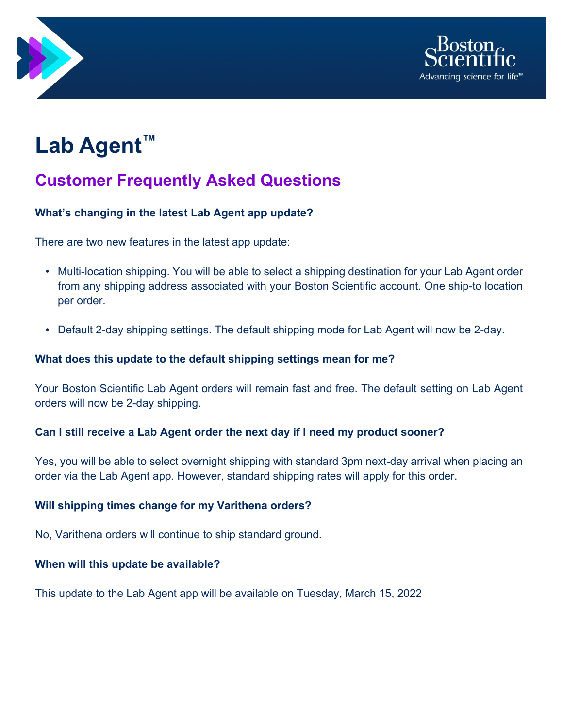



# **Lab Agent™**

## **Customer Frequently Asked Questions**

#### **What's changing in the latest Lab Agent app update?**

There are two new features in the latest app update:

- Multi-location shipping. You will be able to select a shipping destination for your Lab Agent order from any shipping address associated with your Boston Scientific account. One ship-to location per order.
- Default 2-day shipping settings. The default shipping mode for Lab Agent will now be 2-day.

#### **What does this update to the default shipping settings mean for me?**

Your Boston Scientific Lab Agent orders will remain fast and free. The default setting on Lab Agent orders will now be 2-day shipping.

#### **Can I still receive a Lab Agent order the next day if I need my product sooner?**

Yes, you will be able to select overnight shipping with standard 3pm next-day arrival when placing an order via the Lab Agent app. However, standard shipping rates will apply for this order.

#### **Will shipping times change for my Varithena orders?**

No, Varithena orders will continue to ship standard ground.

#### **When will this update be available?**

This update to the Lab Agent app will be available on Tuesday, March 15, 2022